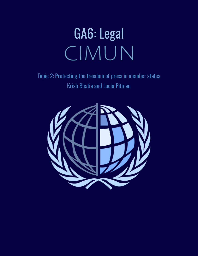# GA6: Legal CIMUN

Topic 2: Protecting the freedom of press in member states Krish Bhatia and Lucia Pitman

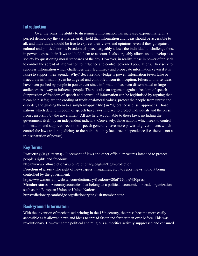#### **Introduction**

Over the years the ability to disseminate information has increased exponentially. In a perfect democracy the view is generally held that information and ideas should be accessible to all, and individuals should be free to express their views and opinions, even if they go against cultural and political norms. Freedom of speech arguably allows the individual to challenge those in power, expose their flaws and hold them to account. It also arguably allows us to develop as a society by questioning moral standards of the day. However, in reality, those in power often seek to control the spread of information to influence and control governed populations. They seek to suppress information which challenges their legitimacy and propagate information (even if it is false) to support their agenda. Why? Because knowledge is power. Information (even false or inaccurate information) can be targeted and controlled from its inception. Filters and false ideas have been pushed by people in power ever since information has been disseminated to large audiences as a way to influence people. There is also an argument against freedom of speech. Suppression of freedom of speech and control of information can be legitimised by arguing that it can help safeguard the eroding of traditional/moral values, protect the people from unrest and disorder, and guiding them to a simpler/happier life (an "ignorance is bliss" approach). Those nations which defend freedom of speech have laws in place to protect individuals and the press from censorship by the government. All are held accountable to these laws, including the government itself, by an independent judiciary. Conversely, those nations which seek to control information and suppress freedom of speech generally have more powerful governments which control the laws and the judiciary to the point that they lack true independence (i.e. there is not a true separation of power).

## **Key Terms**

**Protecting (legal terms)** - Placement of laws and other official measures intended to protect people's rights and freedoms.

<https://www.collinsdictionary.com/dictionary/english/legal-protection>

**Freedom of press** - The right of newspapers, magazines, etc., to report news without being controlled by the government.

<https://www.merriam-webster.com/dictionary/freedom%20of%20the%20press>

**Member states** - A country/countries that belong to a political, economic, or trade organization such as the European Union or United Nations.

<https://dictionary.cambridge.org/dictionary/english/member-state>

## **Background Information**

With the invention of mechanised printing in the 15th century, the press became more easily accessible as it allowed news and ideas to spread faster and farther than ever before. This was revolutionary. However some political and religious authorities actively suppressed and censured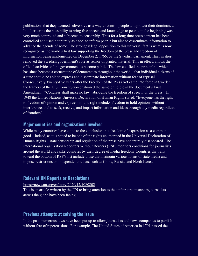publications that they deemed subversive as a way to control people and protect their dominance. In other terms the possibility to bring free speech and knowledge to people in the beginning was very much controlled and subjected to censorship. Thus for a long time press content has been controlled and used not purely as a tool to inform people but also to disseminate information to advance the agenda of some. The strongest legal opposition to this universal fact is what is now recognized as the world's first law supporting the freedom of the press and freedom of information being implemented on December 2, 1766, by the Swedish parliament. This, in short, removed the Swedish government's role as sensor of printed material. This in effect, allows the official activities of the government to become public. The law codified the principle—which has since become a cornerstone of democracies throughout the world—that individual citizens of a state should be able to express and disseminate information without fear of reprisal. Consecutively, twenty-five years after the Freedom of the Press Act came into force in Sweden, the framers of the U.S. Constitution enshrined the same principle in the document's First Amendment: "Congress shall make no law...abridging the freedom of speech, or the press." In 1948 the United Nations Universal Declaration of Human Rights stated: "Everyone has the right to freedom of opinion and expression; this right includes freedom to hold opinions without interference, and to seek, receive, and impart information and ideas through any media regardless of frontiers".

#### **Major countries and organizations involved**

While many countries have come to the conclusion that freedom of expression as a common good—indeed, as it is stated to be one of the rights enumerated in the Universal Declaration of Human Rights—state censorship and regulation of the press have not entirely disappeared. The international organization Reporters Without Borders (RSF) monitors conditions for journalists around the world and ranks countries by their degree of media freedom. Countries that rank toward the bottom of RSF's list include those that maintain various forms of state media and impose restrictions on independent outlets, such as China, Russia, and North Korea.

#### **Relevant UN Reports or Resolutions**

<https://news.un.org/en/story/2020/12/1080802>

This is an article written by the UN to bring attention to the unfair circumstances journalists across the globe have been facing.

#### **Previous attempts at solving the issue**

In the past, numerous laws have been put up to allow journalists and news companies to publish without fear of repercussions. For example, The United States of America in 1791 passed the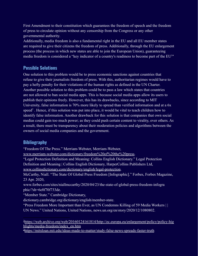First Amendment to their constitution which guarantees the freedom of speech and the freedom of press to circulate opinion without any censorship from the Congress or any other governmental authority.

Additionally, media freedom is also a fundamental right in the EU and all EU member states are required to give their citizens the freedom of press. Additionally, through the EU enlargement process (the process in which new states are able to join the European Union), guaranteeing media freedom is considered a "key indicator of a country's readiness to become part of the EU<sup>1</sup>"

# **Possible Solutions**

One solution to this problem would be to press economic sanctions against countries that refuse to give their journalists freedom of press. With this, authoritarian regimes would have to pay a hefty penalty for their violations of the human rights as defined in the UN Charter. Another possible solution to this problem could be to pass a law which states that countries are not allowed to ban social media apps. This is because social media apps allow its users to publish their opinions freely. However, this has its drawbacks, since according to MIT University, false information is 70% more likely to spread than verified information and at a 6x  $speed<sup>2</sup>$ . Hence, if this solution was put into place, it would be vital to teach children how to identify false information. Another drawback for this solution is that companies that own social medias could gain too much power; as they could push certain content to virality, over others. As a result, there must be transparency about their moderation policies and algorithms between the owners of social media companies and the government.

# **Bibliography**

"Freedom Of The Press." Merriam-Webster, Merriam-Webster,

[www.merriam-webster.com/dictionary/freedom%20of%20the%20press.](http://www.merriam-webster.com/dictionary/freedom%20of%20the%20press)

"Legal Protection Definition and Meaning: Collins English Dictionary." Legal Protection

Definition and Meaning | Collins English Dictionary, HarperCollins Publishers Ltd,

[www.collinsdictionary.com/dictionary/english/legal-protection](http://www.collinsdictionary.com/dictionary/english/legal-protection).

McCarthy, Niall. "The State Of Global Press Freedom [Infographic]." Forbes, Forbes Magazine, 23 Apr. 2020,

www.forbes.com/sites/niallmccarthy/2020/04/23/the-state-of-global-press-freedom-infogra phic/?sh=6e8f70f733de.

"Member State." Cambridge Dictionary,

dictionary.cambridge.org/dictionary/english/member-state.

"Press Freedom More Important than Ever, as UN Condemns Killing of 59 Media Workers | | UN News." United Nations, United Nations, news.un.org/en/story/2020/12/1080802.

<sup>1</sup>[https://web.archive.org/web/20160124161814/http://ec.europa.eu/enlargement/policy/policy-hig](https://web.archive.org/web/20160124161814/http://ec.europa.eu/enlargement/policy/policy-highlights/media-freedom/index_en.htm) [hlights/media-freedom/index\\_en.htm](https://web.archive.org/web/20160124161814/http://ec.europa.eu/enlargement/policy/policy-highlights/media-freedom/index_en.htm)

<sup>2</sup><https://mitsloan.mit.edu/ideas-made-to-matter/study-false-news-spreads-faster-truth>